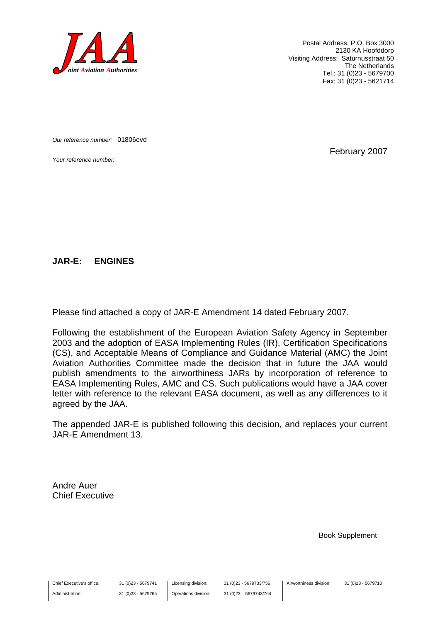

Postal Address: P.O. Box 3000 2130 KA Hoofddorp Visiting Address: Saturnusstraat 50 The Netherlands Tel.: 31 (0)23 - 5679700 Fax: 31 (0)23 - 5621714

*Our reference number:* 01806evd

*Your reference number:* February 2007

#### **JAR-E: ENGINES**

Please find attached a copy of JAR-E Amendment 14 dated February 2007.

Following the establishment of the European Aviation Safety Agency in September 2003 and the adoption of EASA Implementing Rules (IR), Certification Specifications (CS), and Acceptable Means of Compliance and Guidance Material (AMC) the Joint Aviation Authorities Committee made the decision that in future the JAA would publish amendments to the airworthiness JARs by incorporation of reference to EASA Implementing Rules, AMC and CS. Such publications would have a JAA cover letter with reference to the relevant EASA document, as well as any differences to it agreed by the JAA.

The appended JAR-E is published following this decision, and replaces your current JAR-E Amendment 13.

Andre Auer Chief Executive

Book Supplement

Chief Executive's office:

Administration:

31 (0)23 - 5679741 31 (0)23 - 5679765 Licensing division: Operations division: 31 (0)23 - 5679733/756 31 (0)23 – 5679743/764

Airworthiness division: 31 (0)23 - 5679710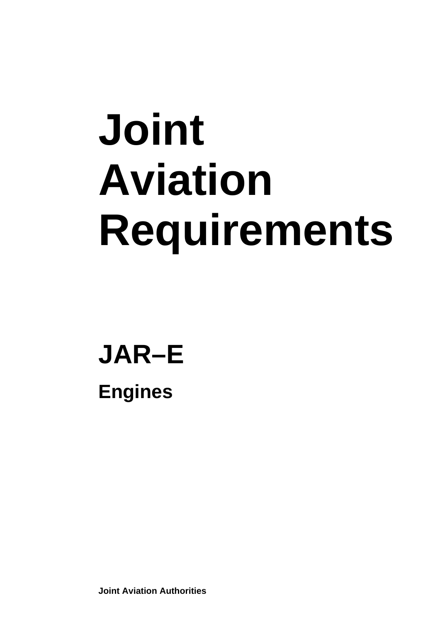# **Joint Aviation Requirements**

### **JAR–E Engines**

**Joint Aviation Authorities**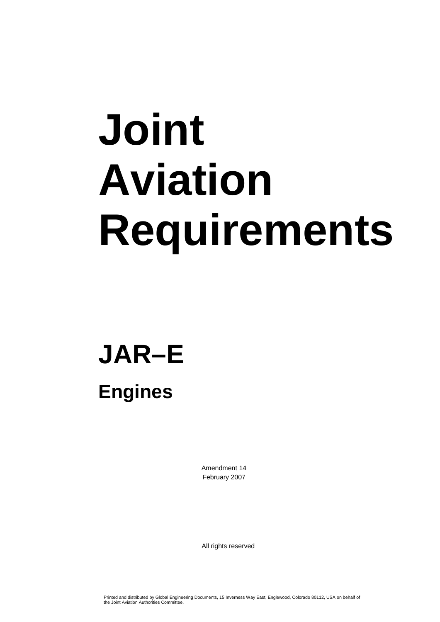# **Joint Aviation Requirements**

### **JAR–E Engines**

Amendment 14 February 2007

All rights reserved

Printed and distributed by Global Engineering Documents, 15 Inverness Way East, Englewood, Colorado 80112, USA on behalf of the Joint Aviation Authorities Committee.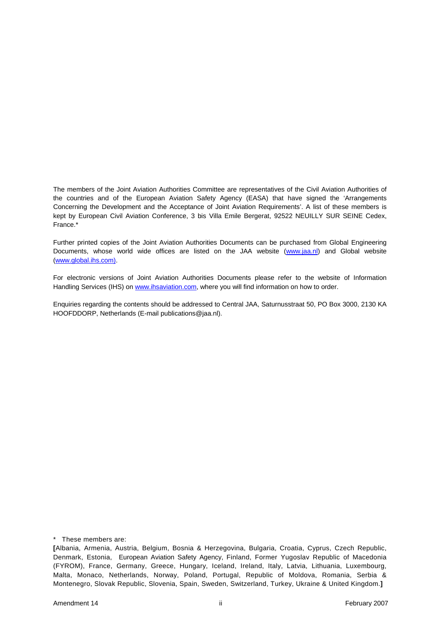The members of the Joint Aviation Authorities Committee are representatives of the Civil Aviation Authorities of the countries and of the European Aviation Safety Agency (EASA) that have signed the 'Arrangements Concerning the Development and the Acceptance of Joint Aviation Requirements'. A list of these members is kept by European Civil Aviation Conference, 3 bis Villa Emile Bergerat, 92522 NEUILLY SUR SEINE Cedex, France.\*

Further printed copies of the Joint Aviation Authorities Documents can be purchased from Global Engineering Documents, whose world wide offices are listed on the JAA website (www.jaa.nl) and Global website (www.global.ihs.com).

For electronic versions of Joint Aviation Authorities Documents please refer to the website of Information Handling Services (IHS) on www.ihsaviation.com, where you will find information on how to order.

Enquiries regarding the contents should be addressed to Central JAA, Saturnusstraat 50, PO Box 3000, 2130 KA HOOFDDORP, Netherlands (E-mail publications@jaa.nl).

\* These members are:

**<sup>[</sup>**Albania, Armenia, Austria, Belgium, Bosnia & Herzegovina, Bulgaria, Croatia, Cyprus, Czech Republic, Denmark, Estonia, European Aviation Safety Agency, Finland, Former Yugoslav Republic of Macedonia (FYROM), France, Germany, Greece, Hungary, Iceland, Ireland, Italy, Latvia, Lithuania, Luxembourg, Malta, Monaco, Netherlands, Norway, Poland, Portugal, Republic of Moldova, Romania, Serbia & Montenegro, Slovak Republic, Slovenia, Spain, Sweden, Switzerland, Turkey, Ukraine & United Kingdom.**]**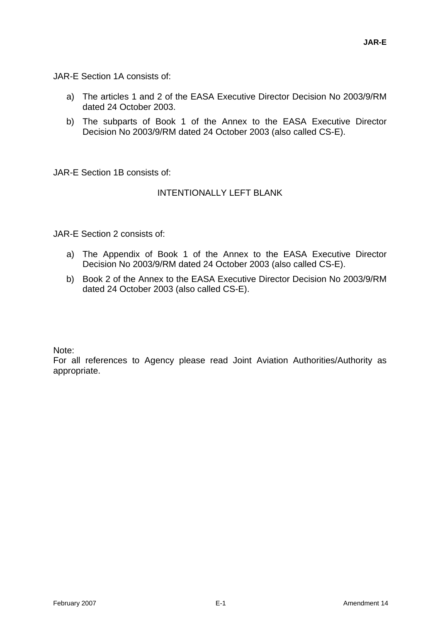JAR-E Section 1A consists of:

- a) The articles 1 and 2 of the EASA Executive Director Decision No 2003/9/RM dated 24 October 2003.
- b) The subparts of Book 1 of the Annex to the EASA Executive Director Decision No 2003/9/RM dated 24 October 2003 (also called CS-E).

JAR-E Section 1B consists of:

#### INTENTIONALLY LEFT BLANK

JAR-E Section 2 consists of:

- a) The Appendix of Book 1 of the Annex to the EASA Executive Director Decision No 2003/9/RM dated 24 October 2003 (also called CS-E).
- b) Book 2 of the Annex to the EASA Executive Director Decision No 2003/9/RM dated 24 October 2003 (also called CS-E).

Note:

For all references to Agency please read Joint Aviation Authorities/Authority as appropriate.